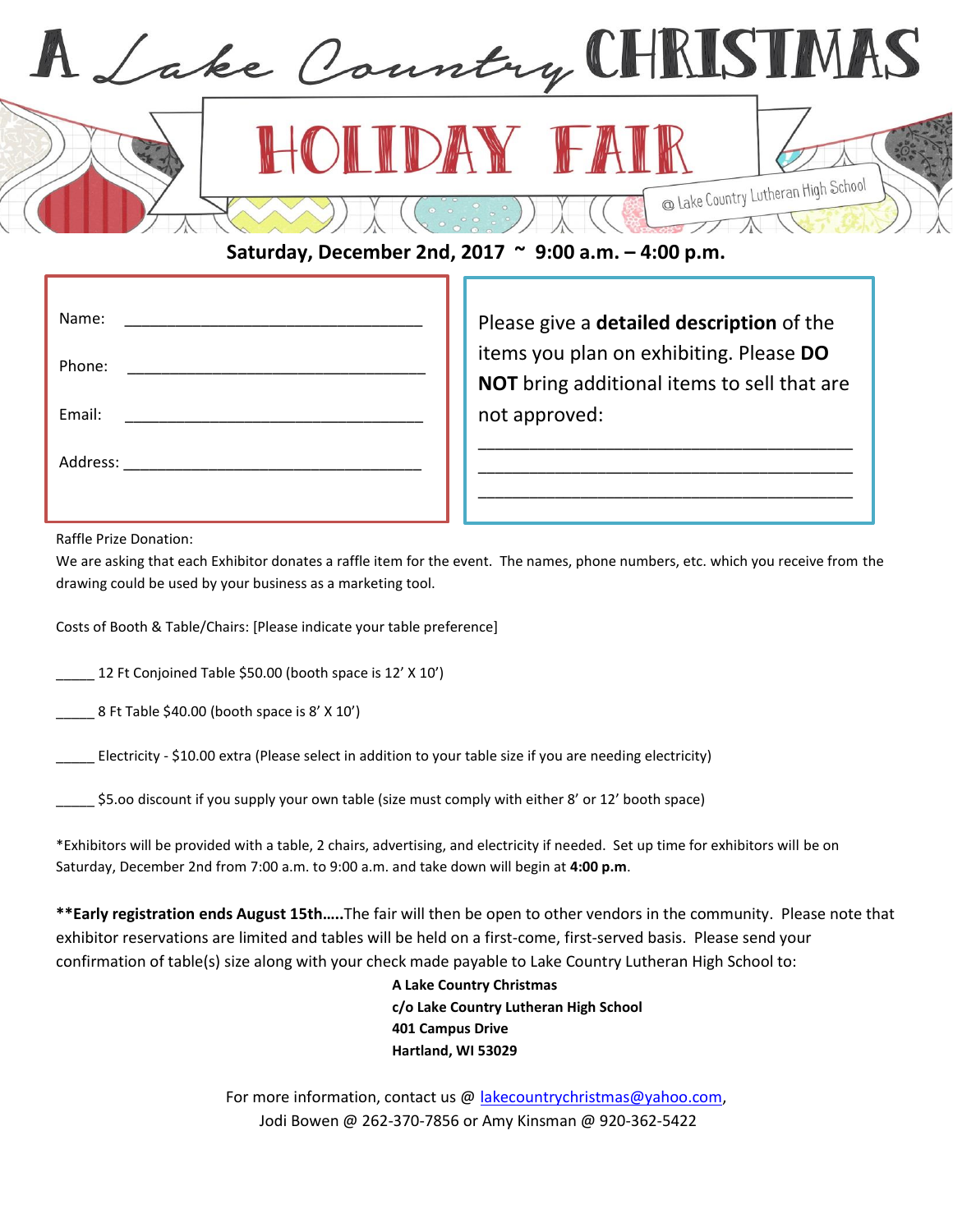

## **Saturday, December 2nd, 2017 ~ 9:00 a.m. – 4:00 p.m.**

| Name:  |  |
|--------|--|
| Phone: |  |
| Email: |  |
|        |  |
|        |  |

Please give a **detailed description** of the items you plan on exhibiting. Please **DO NOT** bring additional items to sell that are not approved:

\_\_\_\_\_\_\_\_\_\_\_\_\_\_\_\_\_\_\_\_\_\_\_\_\_\_\_\_\_\_\_\_\_\_\_\_\_\_\_\_\_\_\_\_ \_\_\_\_\_\_\_\_\_\_\_\_\_\_\_\_\_\_\_\_\_\_\_\_\_\_\_\_\_\_\_\_\_\_\_\_\_\_\_\_\_\_\_\_ \_\_\_\_\_\_\_\_\_\_\_\_\_\_\_\_\_\_\_\_\_\_\_\_\_\_\_\_\_\_\_\_\_\_\_\_\_\_\_\_\_\_\_\_  $\mathcal{L}_\text{max} = \mathcal{L}_\text{max} = \mathcal{L}_\text{max} = \mathcal{L}_\text{max} = \mathcal{L}_\text{max} = \mathcal{L}_\text{max}$ 

Raffle Prize Donation:

We are asking that each Exhibitor donates a raffle item for the event. The names, phone numbers, etc. which you receive from the drawing could be used by your business as a marketing tool.

Costs of Booth & Table/Chairs: [Please indicate your table preference]

\_\_\_\_\_ 12 Ft Conjoined Table \$50.00 (booth space is 12' X 10')

8 Ft Table \$40.00 (booth space is 8' X 10')

\_\_\_\_\_ Electricity - \$10.00 extra (Please select in addition to your table size if you are needing electricity)

\$5.00 discount if you supply your own table (size must comply with either 8' or 12' booth space)

\*Exhibitors will be provided with a table, 2 chairs, advertising, and electricity if needed. Set up time for exhibitors will be on Saturday, December 2nd from 7:00 a.m. to 9:00 a.m. and take down will begin at **4:00 p.m**.

**\*\*Early registration ends August 15th…..**The fair will then be open to other vendors in the community. Please note that exhibitor reservations are limited and tables will be held on a first-come, first-served basis. Please send your confirmation of table(s) size along with your check made payable to Lake Country Lutheran High School to:

> **A Lake Country Christmas c/o Lake Country Lutheran High School 401 Campus Drive Hartland, WI 53029**

For more information, contact us @ [lakecountrychristmas@yahoo.com,](mailto:lakecountrychristmas@yahoo.com) Jodi Bowen @ 262-370-7856 or Amy Kinsman @ 920-362-5422